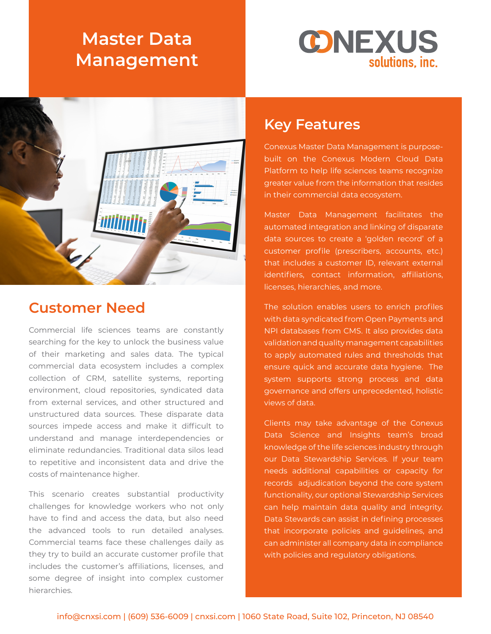# **Master Data Management**





### **Customer Need**

Commercial life sciences teams are constantly searching for the key to unlock the business value of their marketing and sales data. The typical commercial data ecosystem includes a complex collection of CRM, satellite systems, reporting environment, cloud repositories, syndicated data from external services, and other structured and unstructured data sources. These disparate data sources impede access and make it difficult to understand and manage interdependencies or eliminate redundancies. Traditional data silos lead to repetitive and inconsistent data and drive the costs of maintenance higher.

This scenario creates substantial productivity challenges for knowledge workers who not only have to find and access the data, but also need the advanced tools to run detailed analyses. Commercial teams face these challenges daily as they try to build an accurate customer profile that includes the customer's affiliations, licenses, and some degree of insight into complex customer hierarchies.

#### **Key Features**

Conexus Master Data Management is purposebuilt on the Conexus Modern Cloud Data Platform to help life sciences teams recognize greater value from the information that resides in their commercial data ecosystem.

Master Data Management facilitates the automated integration and linking of disparate data sources to create a 'golden record' of a customer profile (prescribers, accounts, etc.) that includes a customer ID, relevant external identifiers, contact information, affiliations, licenses, hierarchies, and more.

The solution enables users to enrich profiles with data syndicated from Open Payments and NPI databases from CMS. It also provides data validation and quality management capabilities to apply automated rules and thresholds that ensure quick and accurate data hygiene. The system supports strong process and data governance and offers unprecedented, holistic views of data.

Clients may take advantage of the Conexus Data Science and Insights team's broad knowledge of the life sciences industry through our Data Stewardship Services. If your team needs additional capabilities or capacity for records adjudication beyond the core system functionality, our optional Stewardship Services can help maintain data quality and integrity. Data Stewards can assist in defining processes that incorporate policies and guidelines, and can administer all company data in compliance with policies and regulatory obligations.